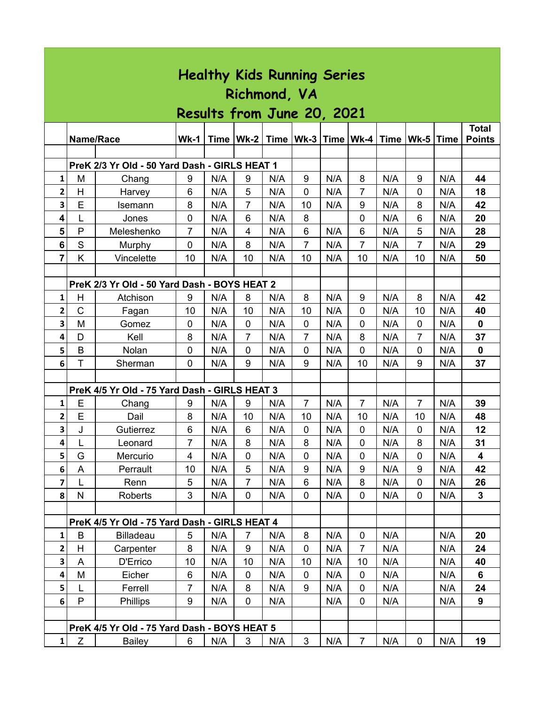| <b>Healthy Kids Running Series</b> |              |                                               |                         |             |                |             |                |     |                |             |                |     |                               |
|------------------------------------|--------------|-----------------------------------------------|-------------------------|-------------|----------------|-------------|----------------|-----|----------------|-------------|----------------|-----|-------------------------------|
|                                    | Richmond, VA |                                               |                         |             |                |             |                |     |                |             |                |     |                               |
| Results from June 20, 2021         |              |                                               |                         |             |                |             |                |     |                |             |                |     |                               |
|                                    | Name/Race    |                                               | $Wk-1$                  | <b>Time</b> |                | Wk-2   Time |                |     |                | <b>Time</b> | Wk-5 Time      |     | <b>Total</b><br><b>Points</b> |
|                                    |              |                                               |                         |             |                |             |                |     |                |             |                |     |                               |
|                                    |              | PreK 2/3 Yr Old - 50 Yard Dash - GIRLS HEAT 1 |                         |             |                |             |                |     |                |             |                |     |                               |
| 1                                  | M            | Chang                                         | 9                       | N/A         | 9              | N/A         | 9              | N/A | 8              | N/A         | 9              | N/A | 44                            |
| 2                                  | H            | Harvey                                        | 6                       | N/A         | 5              | N/A         | $\mathbf 0$    | N/A | $\overline{7}$ | N/A         | 0              | N/A | 18                            |
| 3                                  | E            | Isemann                                       | 8                       | N/A         | $\overline{7}$ | N/A         | 10             | N/A | 9              | N/A         | 8              | N/A | 42                            |
| $\overline{\mathbf{4}}$            | L            | Jones                                         | $\mathbf 0$             | N/A         | 6              | N/A         | 8              |     | $\mathbf 0$    | N/A         | 6              | N/A | 20                            |
| 5                                  | P            | Meleshenko                                    | 7                       | N/A         | 4              | N/A         | 6              | N/A | 6              | N/A         | 5              | N/A | 28                            |
| $6\phantom{1}$                     | S            | Murphy                                        | $\mathbf 0$             | N/A         | 8              | N/A         | $\overline{7}$ | N/A | $\overline{7}$ | N/A         | $\overline{7}$ | N/A | 29                            |
| $\overline{\mathbf{r}}$            | Κ            | Vincelette                                    | 10                      | N/A         | 10             | N/A         | 10             | N/A | 10             | N/A         | 10             | N/A | 50                            |
|                                    |              | PreK 2/3 Yr Old - 50 Yard Dash - BOYS HEAT 2  |                         |             |                |             |                |     |                |             |                |     |                               |
| $\mathbf{1}$                       | H            | Atchison                                      | 9                       | N/A         | 8              | N/A         | 8              | N/A | 9              | N/A         | 8              | N/A | 42                            |
| $\overline{\mathbf{2}}$            | $\mathbf C$  | Fagan                                         | 10                      | N/A         | 10             | N/A         | 10             | N/A | $\mathbf 0$    | N/A         | 10             | N/A | 40                            |
| 3                                  | M            | Gomez                                         | 0                       | N/A         | 0              | N/A         | 0              | N/A | 0              | N/A         | $\mathbf 0$    | N/A | $\mathbf 0$                   |
| 4                                  | D            | Kell                                          | 8                       | N/A         | $\overline{7}$ | N/A         | $\overline{7}$ | N/A | 8              | N/A         | $\overline{7}$ | N/A | 37                            |
| 5                                  | B            | Nolan                                         | 0                       | N/A         | $\mathbf 0$    | N/A         | $\mathbf 0$    | N/A | 0              | N/A         | 0              | N/A | $\mathbf 0$                   |
| 6                                  | T            | Sherman                                       | 0                       | N/A         | 9              | N/A         | 9              | N/A | 10             | N/A         | 9              | N/A | 37                            |
|                                    |              |                                               |                         |             |                |             |                |     |                |             |                |     |                               |
|                                    |              | PreK 4/5 Yr Old - 75 Yard Dash - GIRLS HEAT 3 |                         |             |                |             |                |     |                |             |                |     |                               |
| 1                                  | E            | Chang                                         | 9                       | N/A         | 9              | N/A         | 7              | N/A | 7              | N/A         | 7              | N/A | 39                            |
| $\overline{\mathbf{2}}$            | E            | Dail                                          | 8                       | N/A         | 10             | N/A         | 10             | N/A | 10             | N/A         | 10             | N/A | 48                            |
| $\overline{\mathbf{3}}$            | J            | Gutierrez                                     | 6                       | N/A         | 6              | N/A         | $\mathbf 0$    | N/A | 0              | N/A         | 0              | N/A | 12                            |
| 4                                  | L            | Leonard                                       | $\overline{7}$          | N/A         | 8              | N/A         | 8              | N/A | $\pmb{0}$      | N/A         | 8              | N/A | 31                            |
| 5                                  | G            | Mercurio                                      | $\overline{\mathbf{4}}$ | N/A         | $\mathbf 0$    | N/A         | $\mathbf 0$    | N/A | 0              | N/A         | $\mathbf 0$    | N/A | 4                             |
| 6                                  | A            | Perrault                                      | 10                      | N/A         | 5              | N/A         | 9              | N/A | 9              | N/A         | 9              | N/A | 42                            |
| $\overline{\mathbf{z}}$            | L            | Renn                                          | 5                       | N/A         | $\overline{7}$ | N/A         | 6              | N/A | 8              | N/A         | $\mathbf 0$    | N/A | 26                            |
| $\bf{8}$                           | $\mathsf{N}$ | <b>Roberts</b>                                | 3                       | N/A         | $\mathbf 0$    | N/A         | $\mathbf{0}$   | N/A | $\mathbf 0$    | N/A         | $\mathbf 0$    | N/A | $\mathbf{3}$                  |
|                                    |              |                                               |                         |             |                |             |                |     |                |             |                |     |                               |
|                                    |              | PreK 4/5 Yr Old - 75 Yard Dash - GIRLS HEAT 4 |                         |             |                |             |                |     |                |             |                |     |                               |
| $\mathbf{1}$                       | B            | <b>Billadeau</b>                              | 5                       | N/A         | $\overline{7}$ | N/A         | 8              | N/A | $\pmb{0}$      | N/A         |                | N/A | 20                            |
| $\mathbf{2}$                       | H            | Carpenter                                     | 8                       | N/A         | 9              | N/A         | $\mathbf 0$    | N/A | $\overline{7}$ | N/A         |                | N/A | 24                            |
| $\mathbf{3}$                       | A            | D'Errico                                      | 10                      | N/A         | 10             | N/A         | 10             | N/A | 10             | N/A         |                | N/A | 40                            |
| 4                                  | M            | Eicher                                        | 6                       | N/A         | 0              | N/A         | $\mathbf 0$    | N/A | 0              | N/A         |                | N/A | 6                             |
| 5                                  | L            | Ferrell                                       | $\overline{7}$          | N/A         | 8              | N/A         | 9              | N/A | $\mathbf 0$    | N/A         |                | N/A | 24                            |
| 6                                  | P            | Phillips                                      | 9                       | N/A         | 0              | N/A         |                | N/A | 0              | N/A         |                | N/A | 9                             |
|                                    |              |                                               |                         |             |                |             |                |     |                |             |                |     |                               |
|                                    |              | PreK 4/5 Yr Old - 75 Yard Dash - BOYS HEAT 5  |                         |             |                |             |                |     |                |             |                |     |                               |
| $1\vert$                           | Z            | <b>Bailey</b>                                 | 6                       | N/A         | 3              | N/A         | 3              | N/A | $\overline{7}$ | N/A         | $\mathbf 0$    | N/A | 19                            |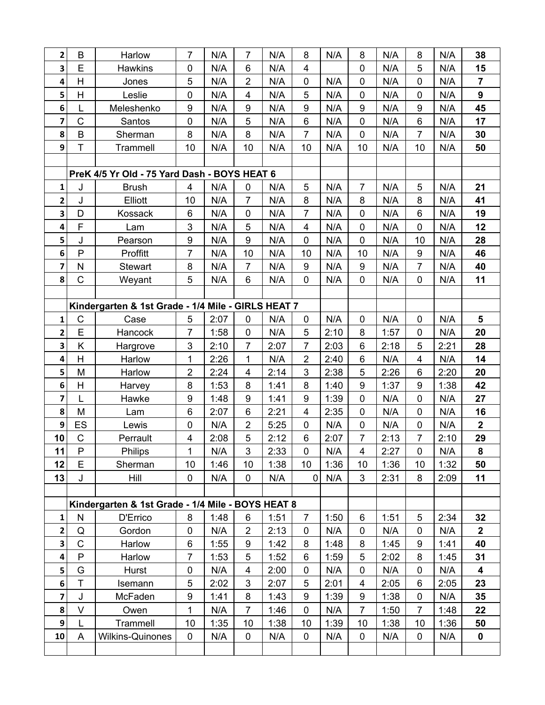| $\overline{\mathbf{2}}$                            | $\mathsf B$             | Harlow                                            | 7              | N/A  | 7                       | N/A  | 8              | N/A  | 8                | N/A  | 8                       | N/A  | 38                      |
|----------------------------------------------------|-------------------------|---------------------------------------------------|----------------|------|-------------------------|------|----------------|------|------------------|------|-------------------------|------|-------------------------|
| 3                                                  | E                       | <b>Hawkins</b>                                    | 0              | N/A  | $6\phantom{1}6$         | N/A  | 4              |      | 0                | N/A  | 5                       | N/A  | 15                      |
| 4                                                  | H                       | Jones                                             | 5              | N/A  | $\overline{2}$          | N/A  | 0              | N/A  | $\pmb{0}$        | N/A  | $\mathbf 0$             | N/A  | $\overline{7}$          |
| 5                                                  | $\overline{\mathsf{H}}$ | Leslie                                            | $\mathbf 0$    | N/A  | $\overline{\mathbf{4}}$ | N/A  | 5              | N/A  | $\mathbf 0$      | N/A  | $\mathbf 0$             | N/A  | $\mathbf{9}$            |
| 6                                                  | L                       | Meleshenko                                        | 9              | N/A  | 9                       | N/A  | 9              | N/A  | 9                | N/A  | 9                       | N/A  | 45                      |
| 7                                                  | $\overline{C}$          | Santos                                            | 0              | N/A  | 5                       | N/A  | 6              | N/A  | $\mathbf 0$      | N/A  | $6\phantom{1}$          | N/A  | 17                      |
| 8                                                  | $\sf B$                 | Sherman                                           | 8              | N/A  | 8                       | N/A  | 7              | N/A  | 0                | N/A  | $\overline{7}$          | N/A  | 30                      |
| 9                                                  | T                       | Trammell                                          | 10             | N/A  | 10                      | N/A  | 10             | N/A  | 10               | N/A  | 10                      | N/A  | 50                      |
|                                                    |                         |                                                   |                |      |                         |      |                |      |                  |      |                         |      |                         |
| PreK 4/5 Yr Old - 75 Yard Dash - BOYS HEAT 6       |                         |                                                   |                |      |                         |      |                |      |                  |      |                         |      |                         |
| 1                                                  | J                       | <b>Brush</b>                                      | 4              | N/A  | 0                       | N/A  | 5              | N/A  | $\overline{7}$   | N/A  | 5                       | N/A  | 21                      |
| 2                                                  | J                       | Elliott                                           | 10             | N/A  | $\overline{7}$          | N/A  | 8              | N/A  | 8                | N/A  | 8                       | N/A  | 41                      |
| 3                                                  | D                       | Kossack                                           | 6              | N/A  | $\mathbf 0$             | N/A  | $\overline{7}$ | N/A  | 0                | N/A  | $6\phantom{1}$          | N/A  | 19                      |
| 4                                                  | F                       | Lam                                               | 3              | N/A  | 5                       | N/A  | 4              | N/A  | 0                | N/A  | $\mathbf 0$             | N/A  | 12                      |
| 5                                                  | J                       | Pearson                                           | 9              | N/A  | 9                       | N/A  | $\overline{0}$ | N/A  | 0                | N/A  | 10                      | N/A  | 28                      |
| 6                                                  | $\mathsf{P}$            | Proffitt                                          | $\overline{7}$ | N/A  | 10                      | N/A  | 10             | N/A  | 10               | N/A  | $\boldsymbol{9}$        | N/A  | 46                      |
| 7                                                  | N                       | <b>Stewart</b>                                    | 8              | N/A  | $\overline{7}$          | N/A  | 9              | N/A  | $\boldsymbol{9}$ | N/A  | $\overline{7}$          | N/A  | 40                      |
| 8                                                  | $\mathsf C$             | Weyant                                            | 5              | N/A  | $\,6\,$                 | N/A  | 0              | N/A  | $\pmb{0}$        | N/A  | $\mathbf 0$             | N/A  | 11                      |
|                                                    |                         |                                                   |                |      |                         |      |                |      |                  |      |                         |      |                         |
| Kindergarten & 1st Grade - 1/4 Mile - GIRLS HEAT 7 |                         |                                                   |                |      |                         |      |                |      |                  |      |                         |      |                         |
| 1                                                  | $\mathsf{C}$            | Case                                              | 5              | 2:07 | $\mathbf 0$             | N/A  | $\mathbf 0$    | N/A  | $\mathbf 0$      | N/A  | $\mathbf 0$             | N/A  | 5                       |
| 2                                                  | E                       | Hancock                                           | 7              | 1:58 | $\mathbf 0$             | N/A  | 5              | 2:10 | 8                | 1:57 | $\mathbf 0$             | N/A  | 20                      |
| 3                                                  | Κ                       | Hargrove                                          | 3              | 2:10 | $\overline{7}$          | 2:07 | $\overline{7}$ | 2:03 | 6                | 2:18 | 5                       | 2:21 | 28                      |
| 4                                                  | H                       | Harlow                                            | 1              | 2:26 | 1                       | N/A  | $\overline{2}$ | 2:40 | 6                | N/A  | $\overline{\mathbf{4}}$ | N/A  | 14                      |
| 5                                                  | M                       | Harlow                                            | $\overline{2}$ | 2:24 | $\overline{4}$          | 2:14 | 3              | 2:38 | 5                | 2:26 | $6\phantom{1}$          | 2:20 | 20                      |
| 6                                                  | H                       | Harvey                                            | 8              | 1:53 | 8                       | 1:41 | 8              | 1:40 | 9                | 1:37 | $\boldsymbol{9}$        | 1:38 | 42                      |
| $\overline{\mathbf{z}}$                            | L                       | Hawke                                             | 9              | 1:48 | 9                       | 1:41 | 9              | 1:39 | 0                | N/A  | $\mathbf 0$             | N/A  | 27                      |
| 8                                                  | M                       | Lam                                               | 6              | 2:07 | 6                       | 2:21 | 4              | 2:35 | 0                | N/A  | 0                       | N/A  | 16                      |
| 9                                                  | ES                      | Lewis                                             | $\pmb{0}$      | N/A  | $\overline{2}$          | 5:25 | 0              | N/A  | $\pmb{0}$        | N/A  | 0                       | N/A  | $\overline{\mathbf{2}}$ |
| 10                                                 | $\mathsf C$             | Perrault                                          | 4              | 2:08 | 5                       | 2:12 | 6              | 2:07 | $\overline{7}$   | 2:13 | 7                       | 2:10 | 29                      |
| 11                                                 | $\mathsf{P}$            | Philips                                           | 1              | N/A  | 3                       | 2:33 | 0              | N/A  | 4                | 2:27 | $\mathbf 0$             | N/A  | 8                       |
| 12                                                 | E                       | Sherman                                           | 10             | 1:46 | 10                      | 1:38 | 10             | 1:36 | 10               | 1:36 | 10                      | 1:32 | 50                      |
| 13                                                 | J                       | Hill                                              | 0              | N/A  | $\mathbf 0$             | N/A  | $\mathbf 0$    | N/A  | 3                | 2:31 | 8                       | 2:09 | 11                      |
|                                                    |                         |                                                   |                |      |                         |      |                |      |                  |      |                         |      |                         |
|                                                    |                         | Kindergarten & 1st Grade - 1/4 Mile - BOYS HEAT 8 |                |      |                         |      |                |      |                  |      |                         |      |                         |
| $\mathbf 1$                                        | ${\sf N}$               | D'Errico                                          | 8              | 1:48 | 6                       | 1:51 | 7              | 1:50 | 6                | 1:51 | 5                       | 2:34 | 32                      |
| $\mathbf{2}$                                       | Q                       | Gordon                                            | 0              | N/A  | $\overline{2}$          | 2:13 | 0              | N/A  | 0                | N/A  | 0                       | N/A  | $\mathbf{2}$            |
| 3                                                  | $\mathsf C$             | Harlow                                            | 6              | 1:55 | 9                       | 1:42 | 8              | 1:48 | 8                | 1:45 | 9                       | 1:41 | 40                      |
| 4                                                  | P                       | Harlow                                            | 7              | 1:53 | 5                       | 1:52 | 6              | 1:59 | 5                | 2:02 | 8                       | 1:45 | 31                      |
| 5                                                  | G                       | Hurst                                             | 0              | N/A  | 4                       | 2:00 | 0              | N/A  | 0                | N/A  | $\mathbf 0$             | N/A  | 4                       |
| 6                                                  | T                       | Isemann                                           | 5              | 2:02 | 3                       | 2:07 | 5              | 2:01 | 4                | 2:05 | 6                       | 2:05 | 23                      |
| $\overline{\mathbf{z}}$                            | J                       | McFaden                                           | 9              | 1:41 | 8                       | 1:43 | 9              | 1:39 | 9                | 1:38 | $\overline{0}$          | N/A  | 35                      |
| 8                                                  | V                       | Owen                                              | 1              | N/A  | 7                       | 1:46 | 0              | N/A  | 7                | 1:50 | 7                       | 1:48 | 22                      |
| $\mathbf{9}$                                       | L                       | Trammell                                          | 10             | 1:35 | 10                      | 1:38 | 10             | 1:39 | 10               | 1:38 | 10                      | 1:36 | 50                      |
| 10                                                 | A                       | <b>Wilkins-Quinones</b>                           | 0              | N/A  | $\mathbf 0$             | N/A  | 0              | N/A  | 0                | N/A  | 0                       | N/A  | $\pmb{0}$               |
|                                                    |                         |                                                   |                |      |                         |      |                |      |                  |      |                         |      |                         |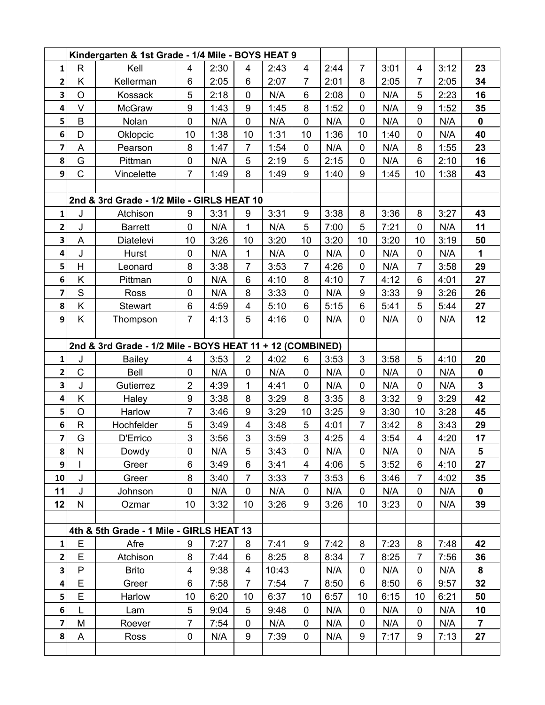|                         | Kindergarten & 1st Grade - 1/4 Mile - BOYS HEAT 9 |                                                           |                |      |                         |       |                |      |                         |      |                  |      |                |
|-------------------------|---------------------------------------------------|-----------------------------------------------------------|----------------|------|-------------------------|-------|----------------|------|-------------------------|------|------------------|------|----------------|
| 1                       | $\mathsf{R}$                                      | Kell                                                      | 4              | 2:30 | 4                       | 2:43  | $\overline{4}$ | 2:44 | $\overline{7}$          | 3:01 | 4                | 3:12 | 23             |
| $\overline{\mathbf{2}}$ | Κ                                                 | Kellerman                                                 | 6              | 2:05 | 6                       | 2:07  | $\overline{7}$ | 2:01 | 8                       | 2:05 | $\overline{7}$   | 2:05 | 34             |
| 3                       | $\circ$                                           | Kossack                                                   | 5              | 2:18 | $\mathbf 0$             | N/A   | 6              | 2:08 | $\mathbf 0$             | N/A  | 5                | 2:23 | 16             |
| 4                       | V                                                 | McGraw                                                    | 9              | 1:43 | 9                       | 1:45  | 8              | 1:52 | $\mathbf 0$             | N/A  | $\boldsymbol{9}$ | 1:52 | 35             |
| 5                       | B                                                 | Nolan                                                     | $\mathbf 0$    | N/A  | $\mathbf 0$             | N/A   | $\mathbf 0$    | N/A  | $\mathbf 0$             | N/A  | $\mathbf 0$      | N/A  | $\mathbf 0$    |
| 6                       | D                                                 | Oklopcic                                                  | 10             | 1:38 | 10                      | 1:31  | 10             | 1:36 | 10                      | 1:40 | $\mathbf 0$      | N/A  | 40             |
| 7                       | A                                                 | Pearson                                                   | 8              | 1:47 | $\overline{7}$          | 1:54  | $\mathbf 0$    | N/A  | $\mathbf 0$             | N/A  | 8                | 1:55 | 23             |
| 8                       | G                                                 | Pittman                                                   | 0              | N/A  | 5                       | 2:19  | 5              | 2:15 | 0                       | N/A  | 6                | 2:10 | 16             |
| 9                       | $\mathsf C$                                       | Vincelette                                                | $\overline{7}$ | 1:49 | 8                       | 1:49  | 9              | 1:40 | $\boldsymbol{9}$        | 1:45 | 10               | 1:38 | 43             |
|                         |                                                   |                                                           |                |      |                         |       |                |      |                         |      |                  |      |                |
|                         |                                                   | 2nd & 3rd Grade - 1/2 Mile - GIRLS HEAT 10                |                |      |                         |       |                |      |                         |      |                  |      |                |
| 1                       | J                                                 | Atchison                                                  | 9              | 3:31 | 9                       | 3:31  | 9              | 3:38 | 8                       | 3:36 | 8                | 3:27 | 43             |
| 2                       | J                                                 | <b>Barrett</b>                                            | $\mathbf 0$    | N/A  | 1                       | N/A   | 5              | 7:00 | 5                       | 7:21 | $\mathbf 0$      | N/A  | 11             |
| 3                       | A                                                 | Diatelevi                                                 | 10             | 3:26 | 10                      | 3:20  | 10             | 3:20 | 10                      | 3:20 | 10               | 3:19 | 50             |
| 4                       | J                                                 | Hurst                                                     | $\pmb{0}$      | N/A  | $\mathbf{1}$            | N/A   | $\mathbf 0$    | N/A  | $\mathbf 0$             | N/A  | $\mathbf 0$      | N/A  | 1              |
| 5                       | H                                                 | Leonard                                                   | 8              | 3:38 | $\overline{7}$          | 3:53  | $\overline{7}$ | 4:26 | $\pmb{0}$               | N/A  | $\overline{7}$   | 3:58 | 29             |
| 6                       | K                                                 | Pittman                                                   | $\mathbf 0$    | N/A  | 6                       | 4:10  | 8              | 4:10 | $\overline{7}$          | 4:12 | 6                | 4:01 | 27             |
| 7                       | S                                                 | <b>Ross</b>                                               | $\pmb{0}$      | N/A  | 8                       | 3:33  | $\mathbf 0$    | N/A  | $\boldsymbol{9}$        | 3:33 | $\boldsymbol{9}$ | 3:26 | 26             |
| 8                       | K                                                 | Stewart                                                   | 6              | 4:59 | $\overline{\mathbf{4}}$ | 5:10  | 6              | 5:15 | $\,6$                   | 5:41 | 5                | 5:44 | 27             |
| 9                       | K                                                 | Thompson                                                  | $\overline{7}$ | 4:13 | 5                       | 4:16  | $\mathbf 0$    | N/A  | $\pmb{0}$               | N/A  | $\mathbf 0$      | N/A  | 12             |
|                         |                                                   |                                                           |                |      |                         |       |                |      |                         |      |                  |      |                |
|                         |                                                   | 2nd & 3rd Grade - 1/2 Mile - BOYS HEAT 11 + 12 (COMBINED) |                |      |                         |       |                |      |                         |      |                  |      |                |
| $\mathbf{1}$            | J                                                 | <b>Bailey</b>                                             | 4              | 3:53 | $\overline{2}$          | 4:02  | 6              | 3:53 | 3                       | 3:58 | 5                | 4:10 | 20             |
| $\mathbf{2}$            | $\mathsf{C}$                                      | <b>Bell</b>                                               | $\mathbf 0$    | N/A  | $\mathbf 0$             | N/A   | $\mathbf 0$    | N/A  | $\mathbf 0$             | N/A  | $\mathbf 0$      | N/A  | $\mathbf 0$    |
| 3                       | J                                                 | Gutierrez                                                 | $\overline{2}$ | 4:39 | 1                       | 4:41  | $\mathbf 0$    | N/A  | $\mathbf 0$             | N/A  | $\mathbf 0$      | N/A  | $\mathbf{3}$   |
| 4                       | Κ                                                 | Haley                                                     | 9              | 3:38 | 8                       | 3:29  | 8              | 3:35 | 8                       | 3:32 | 9                | 3:29 | 42             |
| 5                       | $\circ$                                           | Harlow                                                    | 7              | 3:46 | 9                       | 3:29  | 10             | 3:25 | 9                       | 3:30 | 10               | 3:28 | 45             |
| 6                       | $\mathsf{R}$                                      | Hochfelder                                                | 5              | 3:49 | $\overline{\mathbf{4}}$ | 3:48  | 5              | 4:01 | $\overline{7}$          | 3:42 | 8                | 3:43 | 29             |
| 7                       | G                                                 | D'Errico                                                  | 3              | 3:56 | 3                       | 3:59  | 3              | 4:25 | $\overline{\mathbf{4}}$ | 3:54 | 4                | 4:20 | 17             |
| 8                       | ${\sf N}$                                         | Dowdy                                                     | 0              | N/A  | 5                       | 3:43  | 0              | N/A  | $\mathbf 0$             | N/A  | $\mathbf 0$      | N/A  | 5              |
| 9                       |                                                   | Greer                                                     | 6              | 3:49 | 6                       | 3:41  | 4              | 4:06 | 5                       | 3:52 | 6                | 4:10 | 27             |
| 10                      | J                                                 | Greer                                                     | 8              | 3:40 | $\overline{7}$          | 3:33  | $\overline{7}$ | 3:53 | 6                       | 3:46 | $\overline{7}$   | 4:02 | 35             |
| 11                      | J                                                 | Johnson                                                   | $\pmb{0}$      | N/A  | $\mathbf 0$             | N/A   | $\mathbf 0$    | N/A  | 0                       | N/A  | $\mathbf 0$      | N/A  | $\pmb{0}$      |
| 12                      | $\mathsf{N}$                                      | Ozmar                                                     | 10             | 3:32 | 10                      | 3:26  | 9              | 3:26 | 10                      | 3:23 | 0                | N/A  | 39             |
|                         |                                                   |                                                           |                |      |                         |       |                |      |                         |      |                  |      |                |
|                         |                                                   | 4th & 5th Grade - 1 Mile - GIRLS HEAT 13                  |                |      |                         |       |                |      |                         |      |                  |      |                |
| $\mathbf{1}$            | Ε                                                 | Afre                                                      | 9              | 7:27 | 8                       | 7:41  | 9              | 7:42 | 8                       | 7:23 | 8                | 7:48 | 42             |
| $\mathbf{2}$            | E                                                 | Atchison                                                  | 8              | 7:44 | 6                       | 8:25  | 8              | 8:34 | $\overline{7}$          | 8:25 | 7                | 7:56 | 36             |
| $\mathbf{3}$            | P                                                 | <b>Brito</b>                                              | 4              | 9:38 | 4                       | 10:43 |                | N/A  | $\pmb{0}$               | N/A  | $\mathbf 0$      | N/A  | 8              |
| 4                       | E                                                 | Greer                                                     | 6              | 7:58 | $\overline{7}$          | 7:54  | $\overline{7}$ | 8:50 | 6                       | 8:50 | 6                | 9:57 | 32             |
| 5 <sup>1</sup>          | E                                                 | Harlow                                                    | 10             | 6:20 | 10                      | 6:37  | 10             | 6:57 | 10                      | 6:15 | 10               | 6:21 | 50             |
| 6                       | L                                                 | Lam                                                       | 5              | 9:04 | 5                       | 9:48  | 0              | N/A  | 0                       | N/A  | $\mathbf 0$      | N/A  | 10             |
| $\overline{\mathbf{z}}$ | M                                                 | Roever                                                    | $\overline{7}$ | 7:54 | $\mathbf 0$             | N/A   | $\mathbf 0$    | N/A  | $\mathbf 0$             | N/A  | $\mathbf 0$      | N/A  | $\overline{7}$ |
| $\bf{8}$                | A                                                 | Ross                                                      | 0              | N/A  | 9                       | 7:39  | 0              | N/A  | 9                       | 7:17 | 9                | 7:13 | 27             |
|                         |                                                   |                                                           |                |      |                         |       |                |      |                         |      |                  |      |                |